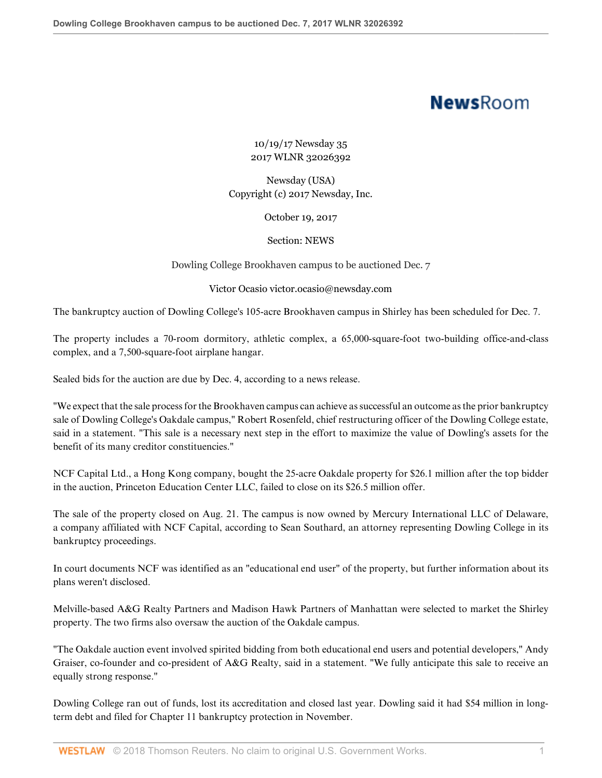## **NewsRoom**

10/19/17 Newsday 35 2017 WLNR 32026392

Newsday (USA) Copyright (c) 2017 Newsday, Inc.

October 19, 2017

Section: NEWS

Dowling College Brookhaven campus to be auctioned Dec. 7

## Victor Ocasio victor.ocasio@newsday.com

The bankruptcy auction of Dowling College's 105-acre Brookhaven campus in Shirley has been scheduled for Dec. 7.

The property includes a 70-room dormitory, athletic complex, a 65,000-square-foot two-building office-and-class complex, and a 7,500-square-foot airplane hangar.

Sealed bids for the auction are due by Dec. 4, according to a news release.

"We expect that the sale process for the Brookhaven campus can achieve as successful an outcome as the prior bankruptcy sale of Dowling College's Oakdale campus," Robert Rosenfeld, chief restructuring officer of the Dowling College estate, said in a statement. "This sale is a necessary next step in the effort to maximize the value of Dowling's assets for the benefit of its many creditor constituencies."

NCF Capital Ltd., a Hong Kong company, bought the 25-acre Oakdale property for \$26.1 million after the top bidder in the auction, Princeton Education Center LLC, failed to close on its \$26.5 million offer.

The sale of the property closed on Aug. 21. The campus is now owned by Mercury International LLC of Delaware, a company affiliated with NCF Capital, according to Sean Southard, an attorney representing Dowling College in its bankruptcy proceedings.

In court documents NCF was identified as an "educational end user" of the property, but further information about its plans weren't disclosed.

Melville-based A&G Realty Partners and Madison Hawk Partners of Manhattan were selected to market the Shirley property. The two firms also oversaw the auction of the Oakdale campus.

"The Oakdale auction event involved spirited bidding from both educational end users and potential developers," Andy Graiser, co-founder and co-president of A&G Realty, said in a statement. "We fully anticipate this sale to receive an equally strong response."

Dowling College ran out of funds, lost its accreditation and closed last year. Dowling said it had \$54 million in longterm debt and filed for Chapter 11 bankruptcy protection in November.